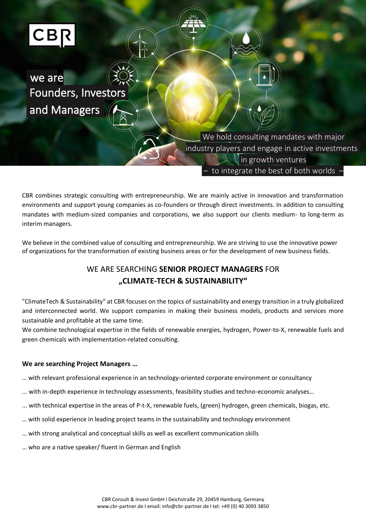

we are Founders, Investors and Managers

> We hold consulting mandates with major industry players and engage in active investments in growth ventures – to integrate the best of both worlds –

CBR combines strategic consulting with entrepreneurship. We are mainly active in innovation and transformation environments and support young companies as co-founders or through direct investments. In addition to consulting mandates with medium-sized companies and corporations, we also support our clients medium- to long-term as interim managers.

We believe in the combined value of consulting and entrepreneurship. We are striving to use the innovative power of organizations for the transformation of existing business areas or for the development of new business fields.

# WE ARE SEARCHING **SENIOR PROJECT MANAGERS** FOR **"CLIMATE-TECH & SUSTAINABILITY"**

"ClimateTech & Sustainability" at CBR focuses on the topics of sustainability and energy transition in a truly globalized and interconnected world. We support companies in making their business models, products and services more sustainable and profitable at the same time.

We combine technological expertise in the fields of renewable energies, hydrogen, Power-to-X, renewable fuels and green chemicals with implementation-related consulting.

# **We are searching Project Managers …**

- … with relevant professional experience in an technology-oriented corporate environment or consultancy
- ... with in-depth experience in technology assessments, feasibility studies and techno-economic analyses…
- ... with technical expertise in the areas of P-t-X, renewable fuels, (green) hydrogen, green chemicals, biogas, etc.
- … with solid experience in leading project teams in the sustainability and technology environment
- … with strong analytical and conceptual skills as well as excellent communication skills
- … who are a native speaker/ fluent in German and English